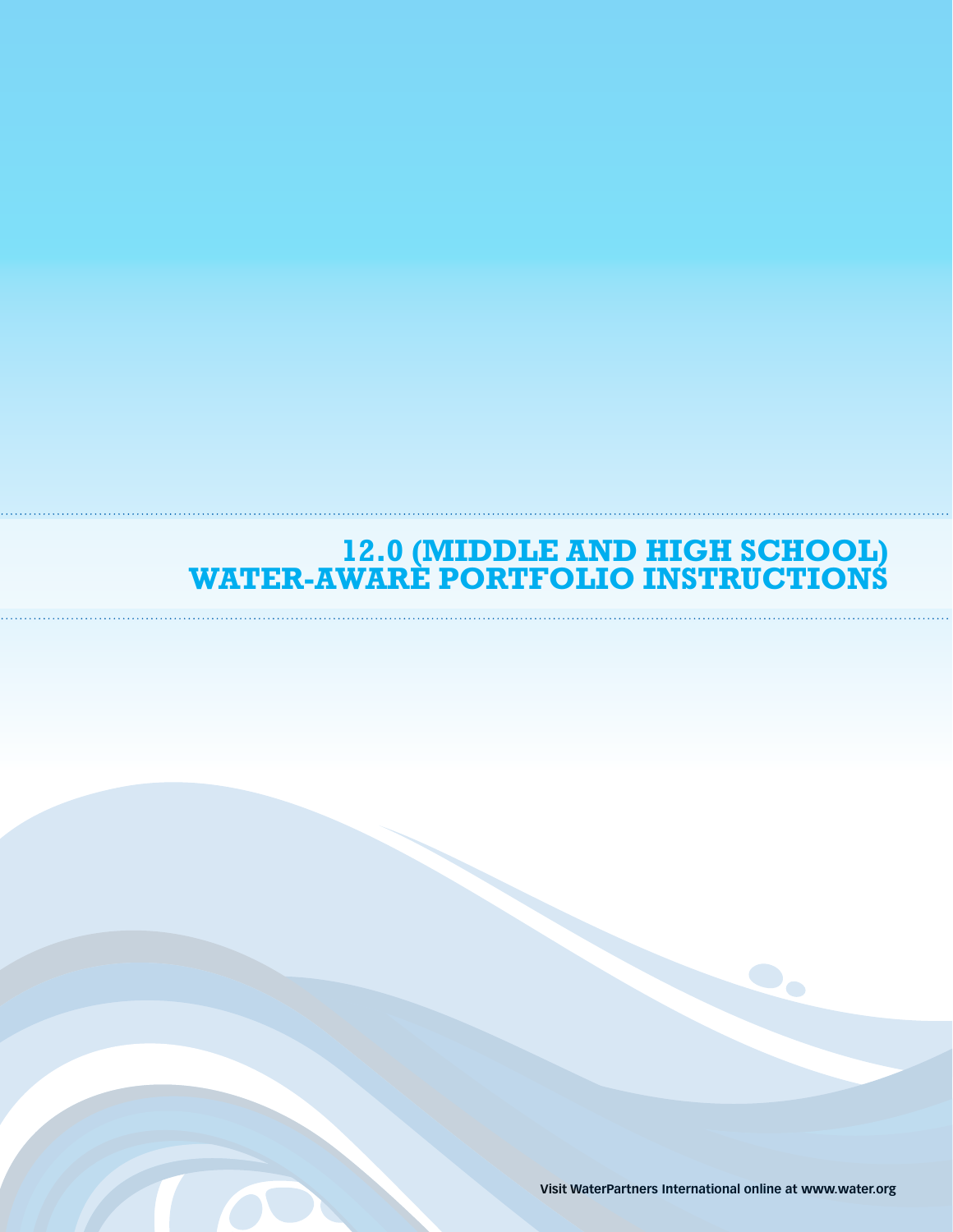## **12.0 (Middle and High School) Water-Aware Portfolio Instructions**

**Visit WaterPartners International online at www.water.org**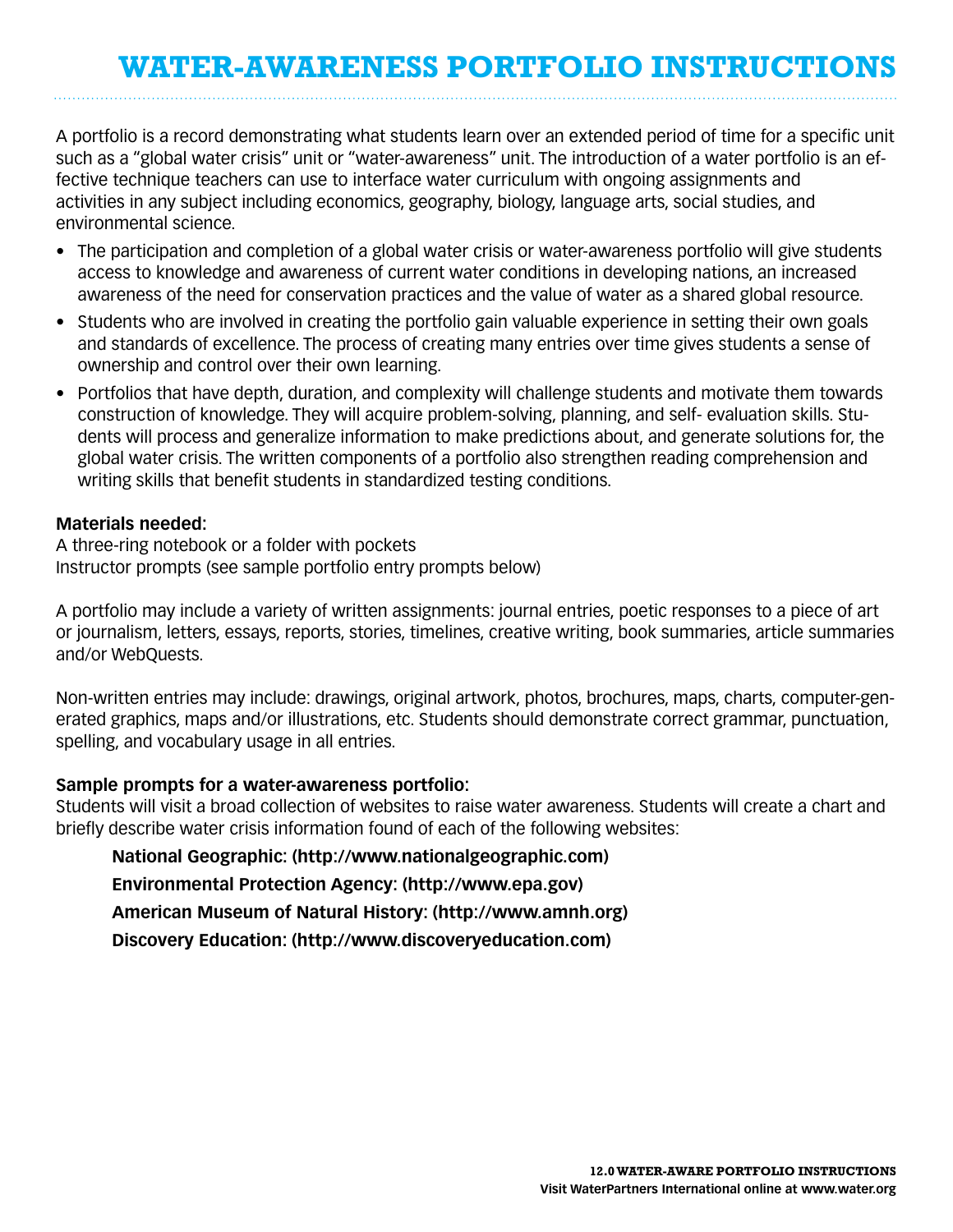## **Water-Awareness Portfolio Instructions**

A portfolio is a record demonstrating what students learn over an extended period of time for a specific unit such as a "global water crisis" unit or "water-awareness" unit. The introduction of a water portfolio is an effective technique teachers can use to interface water curriculum with ongoing assignments and activities in any subject including economics, geography, biology, language arts, social studies, and environmental science.

- The participation and completion of a global water crisis or water-awareness portfolio will give students access to knowledge and awareness of current water conditions in developing nations, an increased awareness of the need for conservation practices and the value of water as a shared global resource.
- Students who are involved in creating the portfolio gain valuable experience in setting their own goals and standards of excellence. The process of creating many entries over time gives students a sense of ownership and control over their own learning.
- Portfolios that have depth, duration, and complexity will challenge students and motivate them towards construction of knowledge. They will acquire problem-solving, planning, and self- evaluation skills. Students will process and generalize information to make predictions about, and generate solutions for, the global water crisis. The written components of a portfolio also strengthen reading comprehension and writing skills that benefit students in standardized testing conditions.

## **Materials needed:**

A three-ring notebook or a folder with pockets Instructor prompts (see sample portfolio entry prompts below)

A portfolio may include a variety of written assignments: journal entries, poetic responses to a piece of art or journalism, letters, essays, reports, stories, timelines, creative writing, book summaries, article summaries and/or WebQuests.

Non-written entries may include: drawings, original artwork, photos, brochures, maps, charts, computer-generated graphics, maps and/or illustrations, etc. Students should demonstrate correct grammar, punctuation, spelling, and vocabulary usage in all entries.

## **Sample prompts for a water-awareness portfolio:**

Students will visit a broad collection of websites to raise water awareness. Students will create a chart and briefly describe water crisis information found of each of the following websites:

**National Geographic: (http://www.nationalgeographic.com) Environmental Protection Agency: (http://www.epa.gov) American Museum of Natural History: (http://www.amnh.org) Discovery Education: (http://www.discoveryeducation.com)**